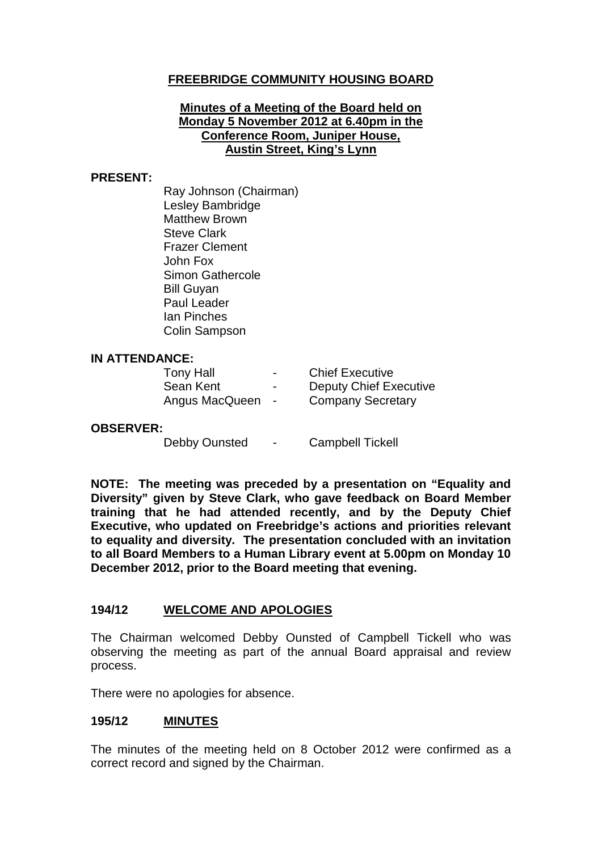# **FREEBRIDGE COMMUNITY HOUSING BOARD**

#### **Minutes of a Meeting of the Board held on Monday 5 November 2012 at 6.40pm in the Conference Room, Juniper House, Austin Street, King's Lynn**

#### **PRESENT:**

Ray Johnson (Chairman) Lesley Bambridge Matthew Brown Steve Clark Frazer Clement John Fox Simon Gathercole Bill Guyan Paul Leader Ian Pinches Colin Sampson

#### **IN ATTENDANCE:**

| <b>Tony Hall</b> | $\overline{\phantom{a}}$ | <b>Chief Executive</b>        |
|------------------|--------------------------|-------------------------------|
| Sean Kent        | -                        | <b>Deputy Chief Executive</b> |
| Angus MacQueen   | $\sim$                   | <b>Company Secretary</b>      |

#### **OBSERVER:**

Debby Ounsted - Campbell Tickell

**NOTE: The meeting was preceded by a presentation on "Equality and Diversity" given by Steve Clark, who gave feedback on Board Member training that he had attended recently, and by the Deputy Chief Executive, who updated on Freebridge's actions and priorities relevant to equality and diversity. The presentation concluded with an invitation to all Board Members to a Human Library event at 5.00pm on Monday 10 December 2012, prior to the Board meeting that evening.**

### **194/12 WELCOME AND APOLOGIES**

The Chairman welcomed Debby Ounsted of Campbell Tickell who was observing the meeting as part of the annual Board appraisal and review process.

There were no apologies for absence.

### **195/12 MINUTES**

The minutes of the meeting held on 8 October 2012 were confirmed as a correct record and signed by the Chairman.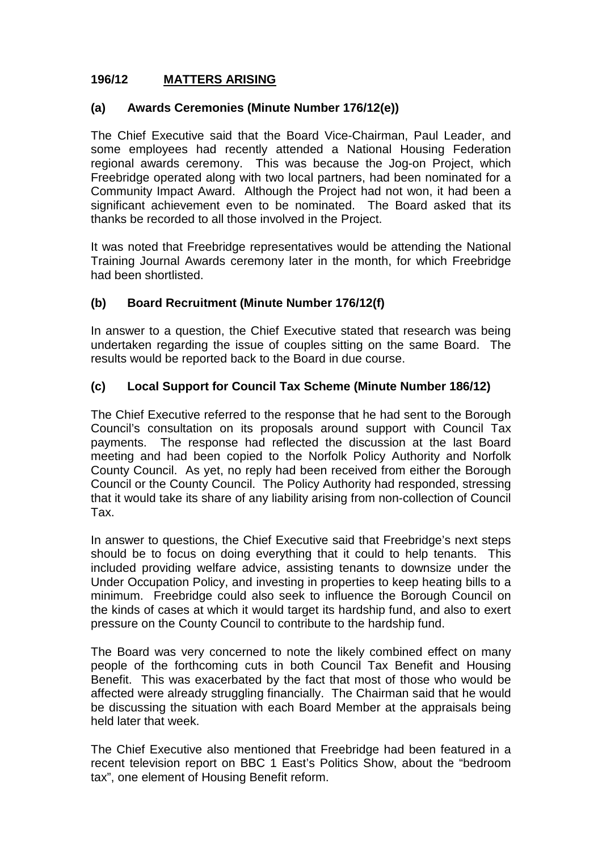# **196/12 MATTERS ARISING**

### **(a) Awards Ceremonies (Minute Number 176/12(e))**

The Chief Executive said that the Board Vice-Chairman, Paul Leader, and some employees had recently attended a National Housing Federation regional awards ceremony. This was because the Jog-on Project, which Freebridge operated along with two local partners, had been nominated for a Community Impact Award. Although the Project had not won, it had been a significant achievement even to be nominated. The Board asked that its thanks be recorded to all those involved in the Project.

It was noted that Freebridge representatives would be attending the National Training Journal Awards ceremony later in the month, for which Freebridge had been shortlisted.

### **(b) Board Recruitment (Minute Number 176/12(f)**

In answer to a question, the Chief Executive stated that research was being undertaken regarding the issue of couples sitting on the same Board. The results would be reported back to the Board in due course.

### **(c) Local Support for Council Tax Scheme (Minute Number 186/12)**

The Chief Executive referred to the response that he had sent to the Borough Council's consultation on its proposals around support with Council Tax payments. The response had reflected the discussion at the last Board meeting and had been copied to the Norfolk Policy Authority and Norfolk County Council. As yet, no reply had been received from either the Borough Council or the County Council. The Policy Authority had responded, stressing that it would take its share of any liability arising from non-collection of Council Tax.

In answer to questions, the Chief Executive said that Freebridge's next steps should be to focus on doing everything that it could to help tenants. This included providing welfare advice, assisting tenants to downsize under the Under Occupation Policy, and investing in properties to keep heating bills to a minimum. Freebridge could also seek to influence the Borough Council on the kinds of cases at which it would target its hardship fund, and also to exert pressure on the County Council to contribute to the hardship fund.

The Board was very concerned to note the likely combined effect on many people of the forthcoming cuts in both Council Tax Benefit and Housing Benefit. This was exacerbated by the fact that most of those who would be affected were already struggling financially. The Chairman said that he would be discussing the situation with each Board Member at the appraisals being held later that week.

The Chief Executive also mentioned that Freebridge had been featured in a recent television report on BBC 1 East's Politics Show, about the "bedroom tax", one element of Housing Benefit reform.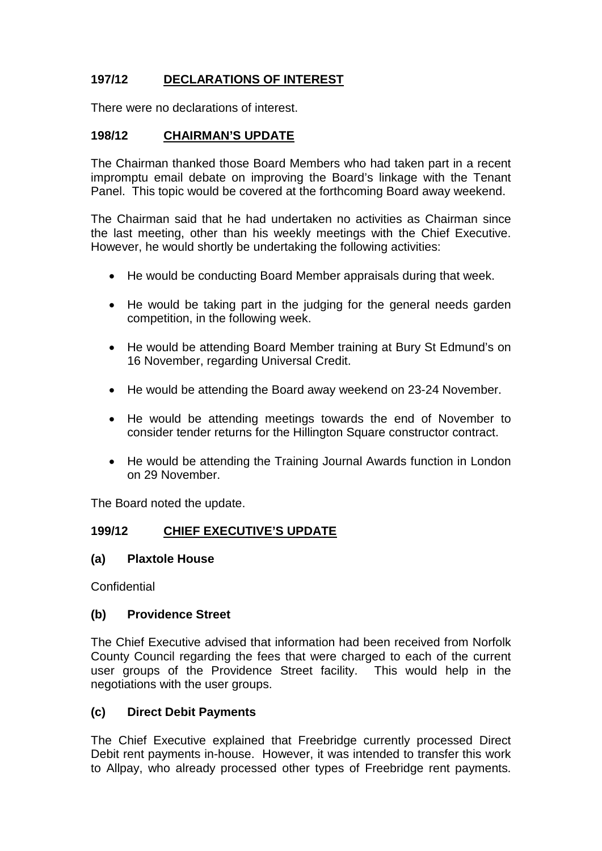# **197/12 DECLARATIONS OF INTEREST**

There were no declarations of interest.

### **198/12 CHAIRMAN'S UPDATE**

The Chairman thanked those Board Members who had taken part in a recent impromptu email debate on improving the Board's linkage with the Tenant Panel. This topic would be covered at the forthcoming Board away weekend.

The Chairman said that he had undertaken no activities as Chairman since the last meeting, other than his weekly meetings with the Chief Executive. However, he would shortly be undertaking the following activities:

- He would be conducting Board Member appraisals during that week.
- He would be taking part in the judging for the general needs garden competition, in the following week.
- He would be attending Board Member training at Bury St Edmund's on 16 November, regarding Universal Credit.
- He would be attending the Board away weekend on 23-24 November.
- He would be attending meetings towards the end of November to consider tender returns for the Hillington Square constructor contract.
- He would be attending the Training Journal Awards function in London on 29 November.

The Board noted the update.

# **199/12 CHIEF EXECUTIVE'S UPDATE**

### **(a) Plaxtole House**

**Confidential** 

### **(b) Providence Street**

The Chief Executive advised that information had been received from Norfolk County Council regarding the fees that were charged to each of the current user groups of the Providence Street facility. This would help in the negotiations with the user groups.

### **(c) Direct Debit Payments**

The Chief Executive explained that Freebridge currently processed Direct Debit rent payments in-house. However, it was intended to transfer this work to Allpay, who already processed other types of Freebridge rent payments.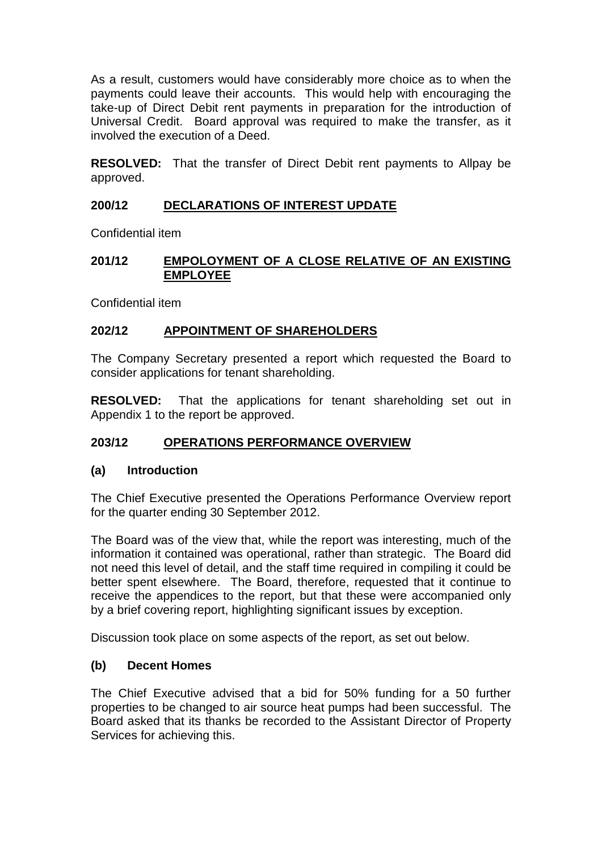As a result, customers would have considerably more choice as to when the payments could leave their accounts. This would help with encouraging the take-up of Direct Debit rent payments in preparation for the introduction of Universal Credit. Board approval was required to make the transfer, as it involved the execution of a Deed.

**RESOLVED:** That the transfer of Direct Debit rent payments to Allpay be approved.

# **200/12 DECLARATIONS OF INTEREST UPDATE**

Confidential item

### **201/12 EMPOLOYMENT OF A CLOSE RELATIVE OF AN EXISTING EMPLOYEE**

Confidential item

# **202/12 APPOINTMENT OF SHAREHOLDERS**

The Company Secretary presented a report which requested the Board to consider applications for tenant shareholding.

**RESOLVED:** That the applications for tenant shareholding set out in Appendix 1 to the report be approved.

# **203/12 OPERATIONS PERFORMANCE OVERVIEW**

# **(a) Introduction**

The Chief Executive presented the Operations Performance Overview report for the quarter ending 30 September 2012.

The Board was of the view that, while the report was interesting, much of the information it contained was operational, rather than strategic. The Board did not need this level of detail, and the staff time required in compiling it could be better spent elsewhere. The Board, therefore, requested that it continue to receive the appendices to the report, but that these were accompanied only by a brief covering report, highlighting significant issues by exception.

Discussion took place on some aspects of the report, as set out below.

### **(b) Decent Homes**

The Chief Executive advised that a bid for 50% funding for a 50 further properties to be changed to air source heat pumps had been successful. The Board asked that its thanks be recorded to the Assistant Director of Property Services for achieving this.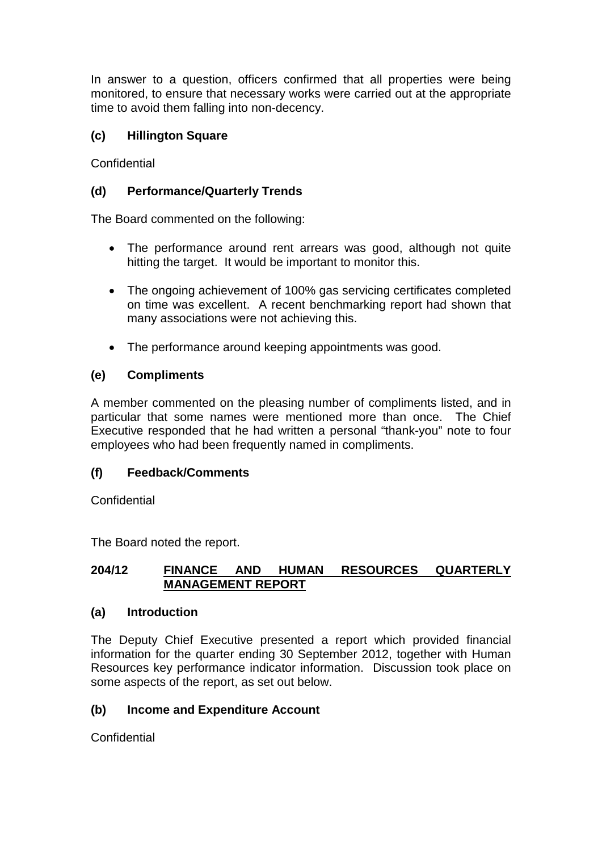In answer to a question, officers confirmed that all properties were being monitored, to ensure that necessary works were carried out at the appropriate time to avoid them falling into non-decency.

# **(c) Hillington Square**

Confidential

# **(d) Performance/Quarterly Trends**

The Board commented on the following:

- The performance around rent arrears was good, although not quite hitting the target. It would be important to monitor this.
- The ongoing achievement of 100% gas servicing certificates completed on time was excellent. A recent benchmarking report had shown that many associations were not achieving this.
- The performance around keeping appointments was good.

### **(e) Compliments**

A member commented on the pleasing number of compliments listed, and in particular that some names were mentioned more than once. The Chief Executive responded that he had written a personal "thank-you" note to four employees who had been frequently named in compliments.

### **(f) Feedback/Comments**

**Confidential** 

The Board noted the report.

### **204/12 FINANCE AND HUMAN RESOURCES QUARTERLY MANAGEMENT REPORT**

### **(a) Introduction**

The Deputy Chief Executive presented a report which provided financial information for the quarter ending 30 September 2012, together with Human Resources key performance indicator information. Discussion took place on some aspects of the report, as set out below.

# **(b) Income and Expenditure Account**

**Confidential**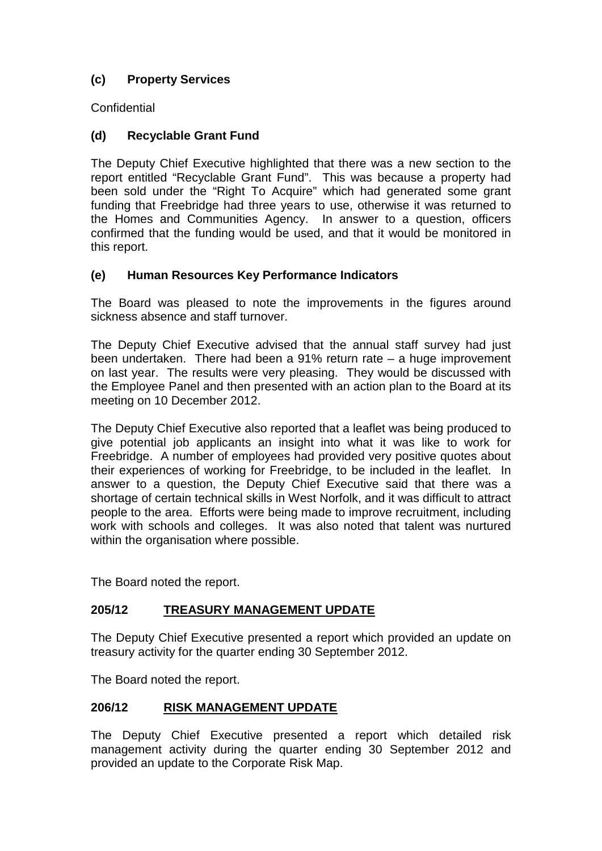# **(c) Property Services**

**Confidential** 

# **(d) Recyclable Grant Fund**

The Deputy Chief Executive highlighted that there was a new section to the report entitled "Recyclable Grant Fund". This was because a property had been sold under the "Right To Acquire" which had generated some grant funding that Freebridge had three years to use, otherwise it was returned to the Homes and Communities Agency. In answer to a question, officers confirmed that the funding would be used, and that it would be monitored in this report.

# **(e) Human Resources Key Performance Indicators**

The Board was pleased to note the improvements in the figures around sickness absence and staff turnover.

The Deputy Chief Executive advised that the annual staff survey had just been undertaken. There had been a 91% return rate – a huge improvement on last year. The results were very pleasing. They would be discussed with the Employee Panel and then presented with an action plan to the Board at its meeting on 10 December 2012.

The Deputy Chief Executive also reported that a leaflet was being produced to give potential job applicants an insight into what it was like to work for Freebridge. A number of employees had provided very positive quotes about their experiences of working for Freebridge, to be included in the leaflet. In answer to a question, the Deputy Chief Executive said that there was a shortage of certain technical skills in West Norfolk, and it was difficult to attract people to the area. Efforts were being made to improve recruitment, including work with schools and colleges. It was also noted that talent was nurtured within the organisation where possible.

The Board noted the report.

# **205/12 TREASURY MANAGEMENT UPDATE**

The Deputy Chief Executive presented a report which provided an update on treasury activity for the quarter ending 30 September 2012.

The Board noted the report.

### **206/12 RISK MANAGEMENT UPDATE**

The Deputy Chief Executive presented a report which detailed risk management activity during the quarter ending 30 September 2012 and provided an update to the Corporate Risk Map.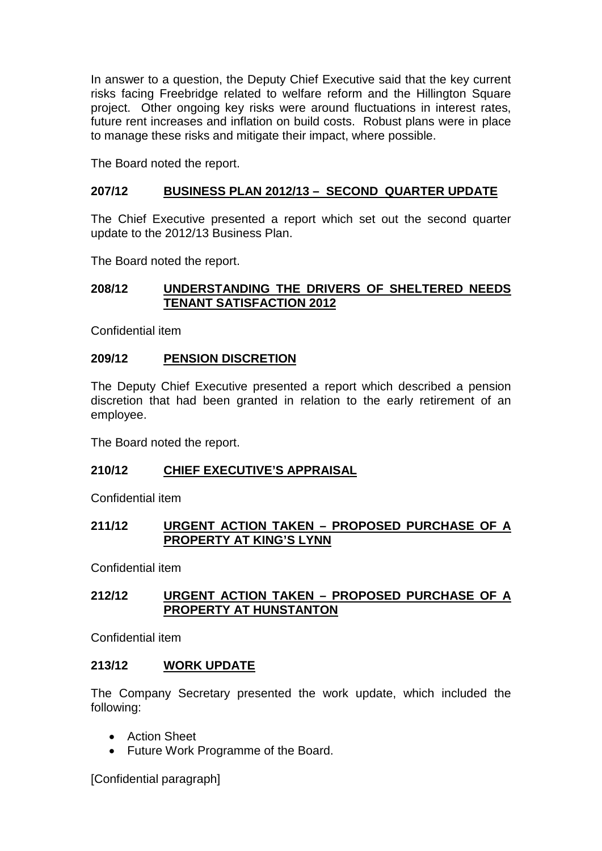In answer to a question, the Deputy Chief Executive said that the key current risks facing Freebridge related to welfare reform and the Hillington Square project. Other ongoing key risks were around fluctuations in interest rates, future rent increases and inflation on build costs. Robust plans were in place to manage these risks and mitigate their impact, where possible.

The Board noted the report.

### **207/12 BUSINESS PLAN 2012/13 – SECOND QUARTER UPDATE**

The Chief Executive presented a report which set out the second quarter update to the 2012/13 Business Plan.

The Board noted the report.

### **208/12 UNDERSTANDING THE DRIVERS OF SHELTERED NEEDS TENANT SATISFACTION 2012**

Confidential item

### **209/12 PENSION DISCRETION**

The Deputy Chief Executive presented a report which described a pension discretion that had been granted in relation to the early retirement of an employee.

The Board noted the report.

### **210/12 CHIEF EXECUTIVE'S APPRAISAL**

Confidential item

#### **211/12 URGENT ACTION TAKEN – PROPOSED PURCHASE OF A PROPERTY AT KING'S LYNN**

Confidential item

### **212/12 URGENT ACTION TAKEN – PROPOSED PURCHASE OF A PROPERTY AT HUNSTANTON**

Confidential item

### **213/12 WORK UPDATE**

The Company Secretary presented the work update, which included the following:

- Action Sheet
- Future Work Programme of the Board.

[Confidential paragraph]